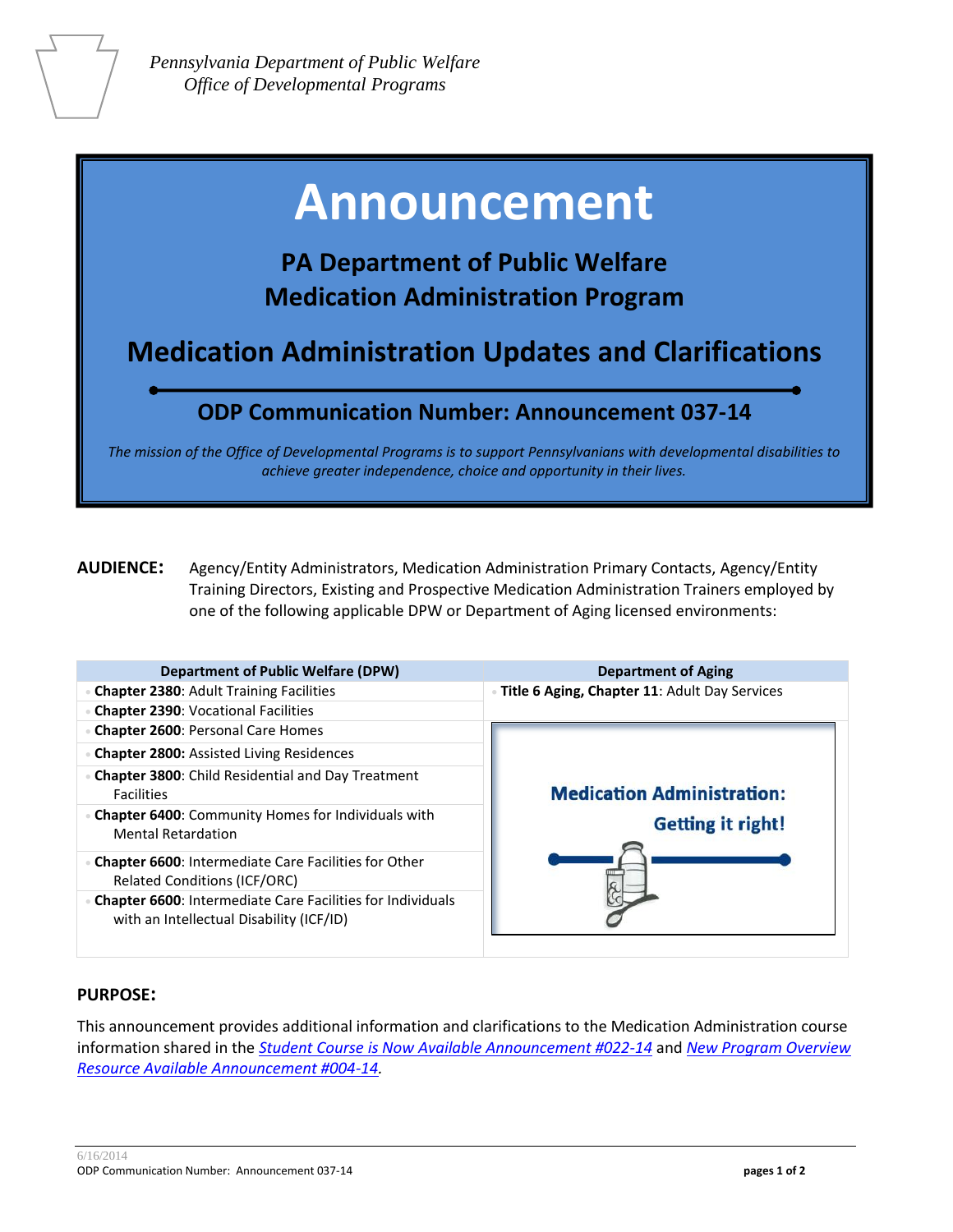# **Announcement**

## **PA Department of Public Welfare Medication Administration Program**

**Medication Administration Updates and Clarifications** 

### **ODP Communication Number: Announcement 037-14**

*The mission of the Office of Developmental Programs is to support Pennsylvanians with developmental disabilities to achieve greater independence, choice and opportunity in their lives.*

**AUDIENCE:** Agency/Entity Administrators, Medication Administration Primary Contacts, Agency/Entity Training Directors, Existing and Prospective Medication Administration Trainers employed by one of the following applicable DPW or Department of Aging licensed environments:

| <b>Department of Public Welfare (DPW)</b>                                                                     | <b>Department of Aging</b>                                    |
|---------------------------------------------------------------------------------------------------------------|---------------------------------------------------------------|
| <b>Chapter 2380: Adult Training Facilities</b>                                                                | · Title 6 Aging, Chapter 11: Adult Day Services               |
| <b>Chapter 2390: Vocational Facilities</b>                                                                    |                                                               |
| <b>Chapter 2600: Personal Care Homes</b>                                                                      |                                                               |
| <b>Chapter 2800: Assisted Living Residences</b>                                                               | <b>Medication Administration:</b><br><b>Getting it right!</b> |
| <b>Chapter 3800:</b> Child Residential and Day Treatment<br><b>Facilities</b>                                 |                                                               |
| <b>Chapter 6400:</b> Community Homes for Individuals with<br><b>Mental Retardation</b>                        |                                                               |
| <b>Chapter 6600: Intermediate Care Facilities for Other</b><br><b>Related Conditions (ICF/ORC)</b>            |                                                               |
| <b>Chapter 6600: Intermediate Care Facilities for Individuals</b><br>with an Intellectual Disability (ICF/ID) |                                                               |

#### **PURPOSE:**

This announcement provides additional information and clarifications to the Medication Administration course information shared in the *[Student Course is Now Available Announcement #022-14](http://documents.odpconsulting.net/alfresco/d/d/workspace/SpacesStore/1ea6c346-5a3c-4f0a-b5a4-ba2cc1307e35/Medication_Administration_Student_Course_Announcement_022-14.pdf)* and *[New Program Overview](http://documents.odpconsulting.net/alfresco/d/d/workspace/SpacesStore/49843c8d-1594-4792-a126-f0012585331a/New_Medication_Administration_Program_Resource_Announcement_004-14.pdf)  [Resource Available Announcement #004-14.](http://documents.odpconsulting.net/alfresco/d/d/workspace/SpacesStore/49843c8d-1594-4792-a126-f0012585331a/New_Medication_Administration_Program_Resource_Announcement_004-14.pdf)*